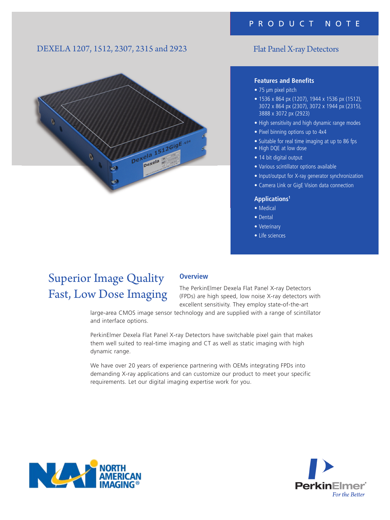## DEXELA 1207, 1512, 2307, 2315 and 2923



## Flat Panel X-ray Detectors

#### **Features and Benefits**

- 75 µm pixel pitch
- 1536 x 864 px (1207), 1944 x 1536 px (1512), 3072 x 864 px (2307), 3072 x 1944 px (2315), 3888 x 3072 px (2923)
- High sensitivity and high dynamic range modes
- Pixel binning options up to 4x4
- Suitable for real time imaging at up to 86 fps
- High DQE at low dose
- 14 bit digital output
- Various scintillator options available
- Input/output for X-ray generator synchronization
- Camera Link or GigE Vision data connection

### **Applications1**

- Medical
- Dental
- Veterinary
- Life sciences

# Superior Image Quality Fast, Low Dose Imaging

### **Overview**

The PerkinElmer Dexela Flat Panel X-ray Detectors (FPDs) are high speed, low noise X-ray detectors with excellent sensitivity. They employ state-of-the-art

large-area CMOS image sensor technology and are supplied with a range of scintillator and interface options.

PerkinElmer Dexela Flat Panel X-ray Detectors have switchable pixel gain that makes them well suited to real-time imaging and CT as well as static imaging with high dynamic range.

We have over 20 years of experience partnering with OEMs integrating FPDs into demanding X-ray applications and can customize our product to meet your specific requirements. Let our digital imaging expertise work for you.